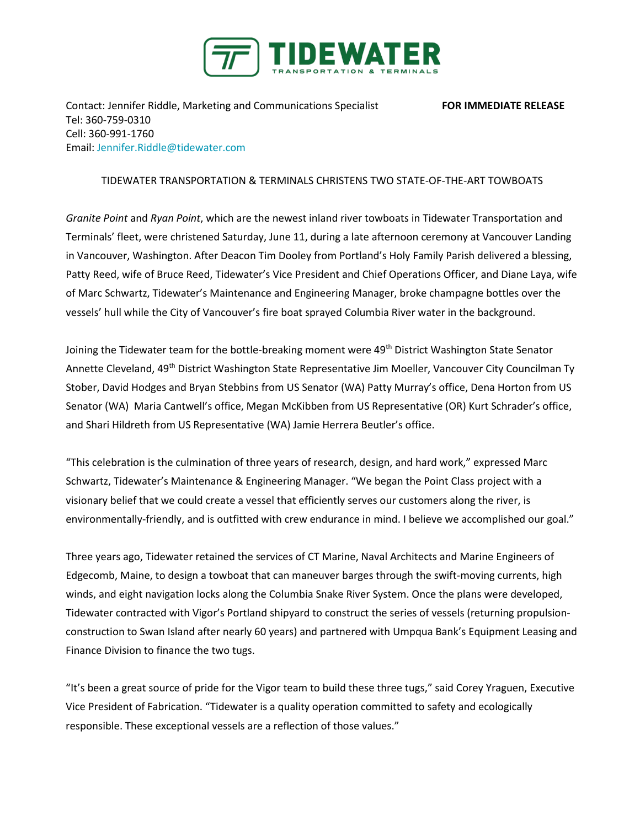

Contact: Jennifer Riddle, Marketing and Communications Specialist **FOR IMMEDIATE RELEASE** Tel: 360-759-0310 Cell: 360-991-1760 Email: [Jennifer.Riddle@tidewater.com](mailto:Jennifer.Riddle@tidewater.com)

## TIDEWATER TRANSPORTATION & TERMINALS CHRISTENS TWO STATE-OF-THE-ART TOWBOATS

*Granite Point* and *Ryan Point*, which are the newest inland river towboats in Tidewater Transportation and Terminals' fleet, were christened Saturday, June 11, during a late afternoon ceremony at Vancouver Landing in Vancouver, Washington. After Deacon Tim Dooley from Portland's Holy Family Parish delivered a blessing, Patty Reed, wife of Bruce Reed, Tidewater's Vice President and Chief Operations Officer, and Diane Laya, wife of Marc Schwartz, Tidewater's Maintenance and Engineering Manager, broke champagne bottles over the vessels' hull while the City of Vancouver's fire boat sprayed Columbia River water in the background.

Joining the Tidewater team for the bottle-breaking moment were 49<sup>th</sup> District Washington State Senator Annette Cleveland, 49<sup>th</sup> District Washington State Representative Jim Moeller, Vancouver City Councilman Ty Stober, David Hodges and Bryan Stebbins from US Senator (WA) Patty Murray's office, Dena Horton from US Senator (WA) Maria Cantwell's office, Megan McKibben from US Representative (OR) Kurt Schrader's office, and Shari Hildreth from US Representative (WA) Jamie Herrera Beutler's office.

"This celebration is the culmination of three years of research, design, and hard work," expressed Marc Schwartz, Tidewater's Maintenance & Engineering Manager. "We began the Point Class project with a visionary belief that we could create a vessel that efficiently serves our customers along the river, is environmentally-friendly, and is outfitted with crew endurance in mind. I believe we accomplished our goal."

Three years ago, Tidewater retained the services of CT Marine, Naval Architects and Marine Engineers of Edgecomb, Maine, to design a towboat that can maneuver barges through the swift-moving currents, high winds, and eight navigation locks along the Columbia Snake River System. Once the plans were developed, Tidewater contracted with Vigor's Portland shipyard to construct the series of vessels (returning propulsionconstruction to Swan Island after nearly 60 years) and partnered with Umpqua Bank's Equipment Leasing and Finance Division to finance the two tugs.

"It's been a great source of pride for the Vigor team to build these three tugs," said Corey Yraguen, Executive Vice President of Fabrication. "Tidewater is a quality operation committed to safety and ecologically responsible. These exceptional vessels are a reflection of those values."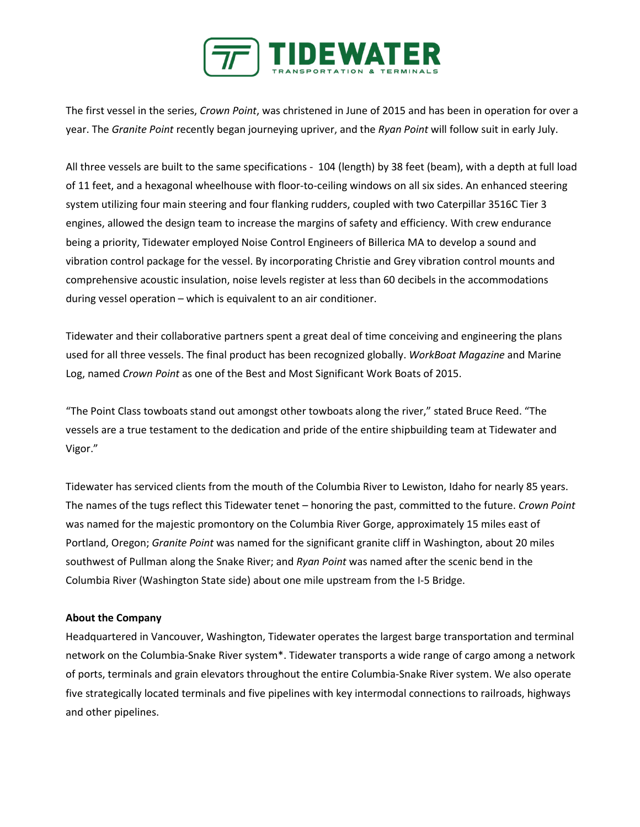

The first vessel in the series, *Crown Point*, was christened in June of 2015 and has been in operation for over a year. The *Granite Point* recently began journeying upriver, and the *Ryan Point* will follow suit in early July.

All three vessels are built to the same specifications - 104 (length) by 38 feet (beam), with a depth at full load of 11 feet, and a hexagonal wheelhouse with floor-to-ceiling windows on all six sides. An enhanced steering system utilizing four main steering and four flanking rudders, coupled with two Caterpillar 3516C Tier 3 engines, allowed the design team to increase the margins of safety and efficiency. With crew endurance being a priority, Tidewater employed Noise Control Engineers of Billerica MA to develop a sound and vibration control package for the vessel. By incorporating Christie and Grey vibration control mounts and comprehensive acoustic insulation, noise levels register at less than 60 decibels in the accommodations during vessel operation – which is equivalent to an air conditioner.

Tidewater and their collaborative partners spent a great deal of time conceiving and engineering the plans used for all three vessels. The final product has been recognized globally. *WorkBoat Magazine* and Marine Log, named *Crown Point* as one of the Best and Most Significant Work Boats of 2015.

"The Point Class towboats stand out amongst other towboats along the river," stated Bruce Reed. "The vessels are a true testament to the dedication and pride of the entire shipbuilding team at Tidewater and Vigor."

Tidewater has serviced clients from the mouth of the Columbia River to Lewiston, Idaho for nearly 85 years. The names of the tugs reflect this Tidewater tenet – honoring the past, committed to the future. *Crown Point* was named for the majestic promontory on the Columbia River Gorge, approximately 15 miles east of Portland, Oregon; *Granite Point* was named for the significant granite cliff in Washington, about 20 miles southwest of Pullman along the Snake River; and *Ryan Point* was named after the scenic bend in the Columbia River (Washington State side) about one mile upstream from the I-5 Bridge.

## **About the Company**

Headquartered in Vancouver, Washington, Tidewater operates the largest barge transportation and terminal network on the Columbia-Snake River system\*. Tidewater transports a wide range of cargo among a network of ports, terminals and grain elevators throughout the entire Columbia-Snake River system. We also operate five strategically located terminals and five pipelines with key intermodal connections to railroads, highways and other pipelines.